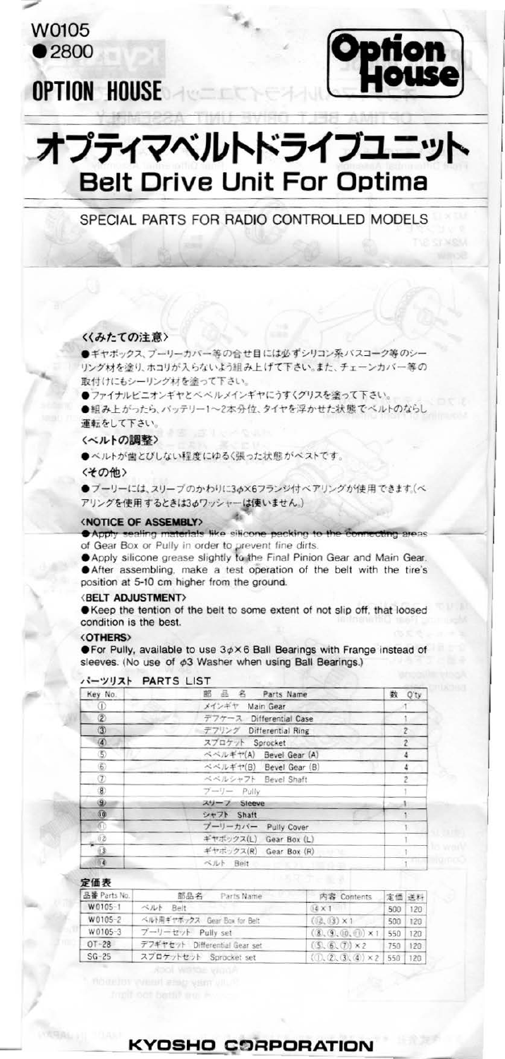W0105  $•2800$ 

# **OPTION HOUSE**



# オプティマベルトドライブユニット **Belt Drive Unit For Optima**

### SPECIAL PARTS FOR RADIO CONTROLLED MODELS

#### 〈〈みたての注意〉

●ギヤボックス、プーリーカバー等の合せ目には必ずシリコン系バスコーク等のシー リング材を塗り、ホコリが入らないよう組み上げて下さい。また、チェーンカバー等の 取付けにもシーリング材を塗って下さい。

●ファイナルピニオンギヤとベベルメインギヤにうすくグリスを塗って下さい。 ●組み上がったら、バッテリー1~2本分位、タイヤを浮かせた状態でベルトのならし 運転をして下さい。

〈ベルトの調整〉

●ベルトが歯とびしない程度にゆるく張った状態がベストです。

〈その他〉

●ブーリーには、スリーブのかわりに3φ×6フランジ付ベアリングが使用できます。(ベ アリングを使用するときは3ゅワッシャーは使いません。)

#### **<NOTICE OF ASSEMBLY>**

Apply sealing materials like silicone packing to the connecting areas of Gear Box or Pully in order to prevent fine dirts.

Apply silicone grease slightly to the Final Pinion Gear and Main Gear. After assembling, make a test operation of the belt with the tire's position at 5-10 cm higher from the ground.

#### **(BELT ADJUSTMENT)**

● Keep the tention of the belt to some extent of not slip off, that loosed condition is the best.

#### **<OTHERS>**

 $\bullet$  For Pully, available to use  $3\phi\times 6$  Ball Bearings with Frange instead of sleeves. (No use of  $\phi$ 3 Washer when using Ball Bearings.)

| Key No.       | 部 品 名 Parts Name                    | 数<br>Q'ty      |
|---------------|-------------------------------------|----------------|
| ⊕             | メインギヤ Main Gear                     |                |
| $\circled{2}$ | デフケース Differential Case             |                |
| $\circled{3}$ | デフリング Differential Ring             | $\overline{z}$ |
|               | スプロケット Sprocket                     | $\overline{2}$ |
| $\circledS$   | ベベルギヤ(A) Bevel Gear (A)             | 4              |
| $\circledR$   | ベベルギヤ(B) Bevel Gear (B)             | 4              |
| Œ             | ベベルシャフト Bevel Shaft                 | 2              |
| $\circledast$ | $\gamma - \eta -$ Pully             |                |
| ۱             | スリーフ Sleeve                         |                |
| Œ             | シャフト Shaft                          |                |
| 60            | ブーリーカバー Pully Cover                 |                |
| 02            | ギヤボックス(L) Gear Box (L)              |                |
| Ū.            | ギヤボックス(R) Gear Box (R)<br>and Chair |                |
| 64            | ベルト Belt                            |                |

#### **N-YUZH PARTS LIST**

#### 定価表

| 品番 Parts No. | Parts Name<br>部品名             | 内容 Contents               | 定価 送料 |        |
|--------------|-------------------------------|---------------------------|-------|--------|
| W0105-1      | ベルト Belt                      | $04 \times 1$             | 500   | 120    |
| W0105-2      | ベルト用ギヤボックス Gear Box for Belt  | $(2, 13) \times 1$        | 500   | 120    |
| W0105-3      | ブーリーセット Pully set             | $(8, 9, 00, 00) \times 1$ | 550   | 120    |
| $OT-28$      | デフギヤセット Differential Gear set | $(5, 6, 7) \times 2$      | 750   | 120    |
| $SG-25$      | スプロケットセット Sprocket set        | $(0, 2, 3, 4) \times 2$   | 550   | $-120$ |

apol werde yaada

## KYOSHO CORPORATION